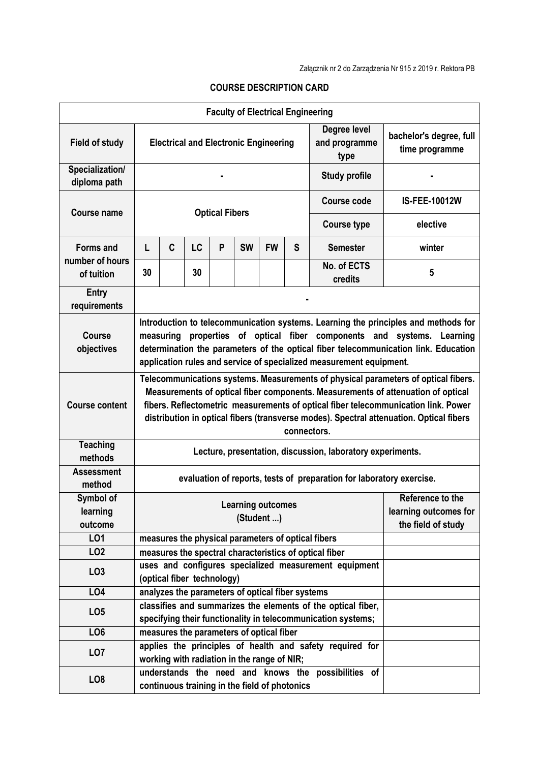|                                     |                                                                                                                                                                                                                                                                                                                                                                        |                                                                                                           |    |   |           | <b>Faculty of Electrical Engineering</b>         |   |                                                                                                                              |                                           |  |
|-------------------------------------|------------------------------------------------------------------------------------------------------------------------------------------------------------------------------------------------------------------------------------------------------------------------------------------------------------------------------------------------------------------------|-----------------------------------------------------------------------------------------------------------|----|---|-----------|--------------------------------------------------|---|------------------------------------------------------------------------------------------------------------------------------|-------------------------------------------|--|
| <b>Field of study</b>               | Degree level<br><b>Electrical and Electronic Engineering</b><br>and programme<br>type                                                                                                                                                                                                                                                                                  |                                                                                                           |    |   |           |                                                  |   |                                                                                                                              | bachelor's degree, full<br>time programme |  |
| Specialization/<br>diploma path     | <b>Study profile</b>                                                                                                                                                                                                                                                                                                                                                   |                                                                                                           |    |   |           |                                                  |   |                                                                                                                              |                                           |  |
| Course name                         | <b>Optical Fibers</b>                                                                                                                                                                                                                                                                                                                                                  |                                                                                                           |    |   |           |                                                  |   | <b>Course code</b>                                                                                                           | <b>IS-FEE-10012W</b>                      |  |
|                                     |                                                                                                                                                                                                                                                                                                                                                                        |                                                                                                           |    |   |           |                                                  |   | <b>Course type</b>                                                                                                           | elective                                  |  |
| <b>Forms and</b><br>number of hours | L                                                                                                                                                                                                                                                                                                                                                                      | C                                                                                                         | LC | P | <b>SW</b> | <b>FW</b>                                        | S | <b>Semester</b>                                                                                                              | winter                                    |  |
| of tuition                          | 30                                                                                                                                                                                                                                                                                                                                                                     |                                                                                                           | 30 |   |           |                                                  |   | No. of ECTS<br>credits                                                                                                       | 5                                         |  |
| <b>Entry</b><br>requirements        |                                                                                                                                                                                                                                                                                                                                                                        |                                                                                                           |    |   |           |                                                  |   |                                                                                                                              |                                           |  |
| Course<br>objectives                | Introduction to telecommunication systems. Learning the principles and methods for<br>measuring properties of optical fiber components and systems. Learning<br>determination the parameters of the optical fiber telecommunication link. Education<br>application rules and service of specialized measurement equipment.                                             |                                                                                                           |    |   |           |                                                  |   |                                                                                                                              |                                           |  |
| <b>Course content</b>               | Telecommunications systems. Measurements of physical parameters of optical fibers.<br>Measurements of optical fiber components. Measurements of attenuation of optical<br>fibers. Reflectometric measurements of optical fiber telecommunication link. Power<br>distribution in optical fibers (transverse modes). Spectral attenuation. Optical fibers<br>connectors. |                                                                                                           |    |   |           |                                                  |   |                                                                                                                              |                                           |  |
| <b>Teaching</b><br>methods          | Lecture, presentation, discussion, laboratory experiments.                                                                                                                                                                                                                                                                                                             |                                                                                                           |    |   |           |                                                  |   |                                                                                                                              |                                           |  |
| <b>Assessment</b><br>method         | evaluation of reports, tests of preparation for laboratory exercise.                                                                                                                                                                                                                                                                                                   |                                                                                                           |    |   |           |                                                  |   |                                                                                                                              |                                           |  |
| Symbol of<br>learning<br>outcome    |                                                                                                                                                                                                                                                                                                                                                                        | Reference to the<br><b>Learning outcomes</b><br>learning outcomes for<br>(Student )<br>the field of study |    |   |           |                                                  |   |                                                                                                                              |                                           |  |
| LO1                                 |                                                                                                                                                                                                                                                                                                                                                                        |                                                                                                           |    |   |           |                                                  |   | measures the physical parameters of optical fibers                                                                           |                                           |  |
| LO <sub>2</sub>                     |                                                                                                                                                                                                                                                                                                                                                                        |                                                                                                           |    |   |           |                                                  |   | measures the spectral characteristics of optical fiber                                                                       |                                           |  |
| LO <sub>3</sub>                     |                                                                                                                                                                                                                                                                                                                                                                        | (optical fiber technology)                                                                                |    |   |           |                                                  |   | uses and configures specialized measurement equipment                                                                        |                                           |  |
| LO4                                 |                                                                                                                                                                                                                                                                                                                                                                        |                                                                                                           |    |   |           | analyzes the parameters of optical fiber systems |   |                                                                                                                              |                                           |  |
| LO <sub>5</sub>                     |                                                                                                                                                                                                                                                                                                                                                                        |                                                                                                           |    |   |           |                                                  |   | classifies and summarizes the elements of the optical fiber,<br>specifying their functionality in telecommunication systems; |                                           |  |
| LO <sub>6</sub>                     |                                                                                                                                                                                                                                                                                                                                                                        |                                                                                                           |    |   |           | measures the parameters of optical fiber         |   |                                                                                                                              |                                           |  |
| LO <sub>7</sub>                     |                                                                                                                                                                                                                                                                                                                                                                        | applies the principles of health and safety required for<br>working with radiation in the range of NIR;   |    |   |           |                                                  |   |                                                                                                                              |                                           |  |
| LO <sub>8</sub>                     |                                                                                                                                                                                                                                                                                                                                                                        |                                                                                                           |    |   |           | continuous training in the field of photonics    |   | understands the need and knows the possibilities of                                                                          |                                           |  |

## **COURSE DESCRIPTION CARD**